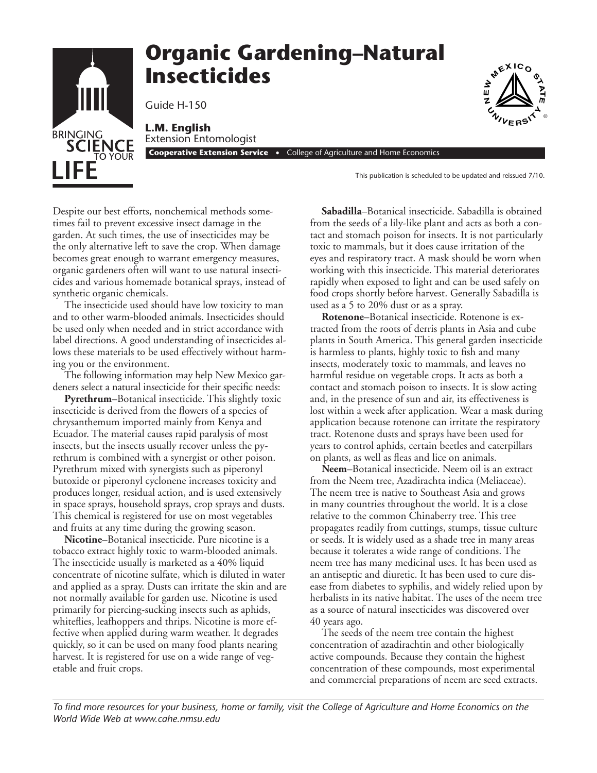

Despite our best efforts, nonchemical methods sometimes fail to prevent excessive insect damage in the garden. At such times, the use of insecticides may be the only alternative left to save the crop. When damage becomes great enough to warrant emergency measures, organic gardeners often will want to use natural insecticides and various homemade botanical sprays, instead of synthetic organic chemicals.

The insecticide used should have low toxicity to man and to other warm-blooded animals. Insecticides should be used only when needed and in strict accordance with label directions. A good understanding of insecticides allows these materials to be used effectively without harming you or the environment.

The following information may help New Mexico gardeners select a natural insecticide for their specific needs:

**Pyrethrum**–Botanical insecticide. This slightly toxic insecticide is derived from the flowers of a species of chrysanthemum imported mainly from Kenya and Ecuador. The material causes rapid paralysis of most insects, but the insects usually recover unless the pyrethrum is combined with a synergist or other poison. Pyrethrum mixed with synergists such as piperonyl butoxide or piperonyl cyclonene increases toxicity and produces longer, residual action, and is used extensively in space sprays, household sprays, crop sprays and dusts. This chemical is registered for use on most vegetables and fruits at any time during the growing season.

**Nicotine**–Botanical insecticide. Pure nicotine is a tobacco extract highly toxic to warm-blooded animals. The insecticide usually is marketed as a 40% liquid concentrate of nicotine sulfate, which is diluted in water and applied as a spray. Dusts can irritate the skin and are not normally available for garden use. Nicotine is used primarily for piercing-sucking insects such as aphids, whiteflies, leafhoppers and thrips. Nicotine is more effective when applied during warm weather. It degrades quickly, so it can be used on many food plants nearing harvest. It is registered for use on a wide range of vegetable and fruit crops.

**Sabadilla**–Botanical insecticide. Sabadilla is obtained from the seeds of a lily-like plant and acts as both a contact and stomach poison for insects. It is not particularly toxic to mammals, but it does cause irritation of the eyes and respiratory tract. A mask should be worn when working with this insecticide. This material deteriorates rapidly when exposed to light and can be used safely on food crops shortly before harvest. Generally Sabadilla is used as a 5 to 20% dust or as a spray.

**Rotenone**–Botanical insecticide. Rotenone is extracted from the roots of derris plants in Asia and cube plants in South America. This general garden insecticide is harmless to plants, highly toxic to fish and many insects, moderately toxic to mammals, and leaves no harmful residue on vegetable crops. It acts as both a contact and stomach poison to insects. It is slow acting and, in the presence of sun and air, its effectiveness is lost within a week after application. Wear a mask during application because rotenone can irritate the respiratory tract. Rotenone dusts and sprays have been used for years to control aphids, certain beetles and caterpillars on plants, as well as fleas and lice on animals.

**Neem**–Botanical insecticide. Neem oil is an extract from the Neem tree, Azadirachta indica (Meliaceae). The neem tree is native to Southeast Asia and grows in many countries throughout the world. It is a close relative to the common Chinaberry tree. This tree propagates readily from cuttings, stumps, tissue culture or seeds. It is widely used as a shade tree in many areas because it tolerates a wide range of conditions. The neem tree has many medicinal uses. It has been used as an antiseptic and diuretic. It has been used to cure disease from diabetes to syphilis, and widely relied upon by herbalists in its native habitat. The uses of the neem tree as a source of natural insecticides was discovered over 40 years ago.

The seeds of the neem tree contain the highest concentration of azadirachtin and other biologically active compounds. Because they contain the highest concentration of these compounds, most experimental and commercial preparations of neem are seed extracts.

*To find more resources for your business, home or family, visit the College of Agriculture and Home Economics on the World Wide Web at www.cahe.nmsu.edu*